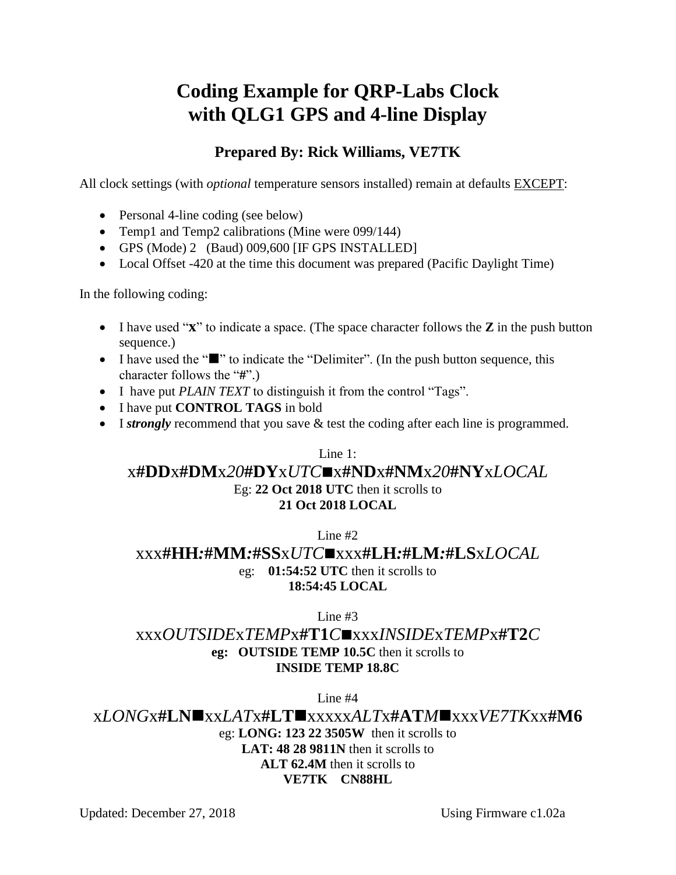# **Coding Example for QRP-Labs Clock with QLG1 GPS and 4-line Display**

## **Prepared By: Rick Williams, VE7TK**

All clock settings (with *optional* temperature sensors installed) remain at defaults EXCEPT:

- Personal 4-line coding (see below)
- Temp1 and Temp2 calibrations (Mine were 099/144)
- GPS (Mode) 2 (Baud) 009,600 [IF GPS INSTALLED]
- Local Offset -420 at the time this document was prepared (Pacific Daylight Time)

In the following coding:

- I have used "**x**" to indicate a space. (The space character follows the **Z** in the push button sequence.)
- I have used the " $\blacksquare$ " to indicate the "Delimiter". (In the push button sequence, this character follows the "**#**".)
- I have put *PLAIN TEXT* to distinguish it from the control "Tags".
- I have put **CONTROL TAGS** in bold
- I *strongly* recommend that you save & test the coding after each line is programmed.

Line 1:

#### x**#DD**x**#DM**x*20***#DY**x*UTC*x**#ND**x**#NM**x*20***#NY**x*LOCAL* Eg: **22 Oct 2018 UTC** then it scrolls to **21 Oct 2018 LOCAL**

Line #2

### xxx**#HH***:***#MM***:***#SS**x*UTC*xxx**#LH***:***#LM***:***#LS**x*LOCAL* eg: **01:54:52 UTC** then it scrolls to **18:54:45 LOCAL**

Line #3

## xxx*OUTSIDE*x*TEMP*x**#T1***C*xxx*INSIDE*x*TEMP*x**#T2***C* **eg: OUTSIDE TEMP 10.5C** then it scrolls to **INSIDE TEMP 18.8C**

Line #4

x*LONG*x**#LN**xx*LAT*x**#LT**xxxxx*ALT*x**#AT***M*xxx*VE7TK*xx**#M6** eg: **LONG: 123 22 3505W** then it scrolls to **LAT: 48 28 9811N** then it scrolls to **ALT 62.4M** then it scrolls to **VE7TK CN88HL**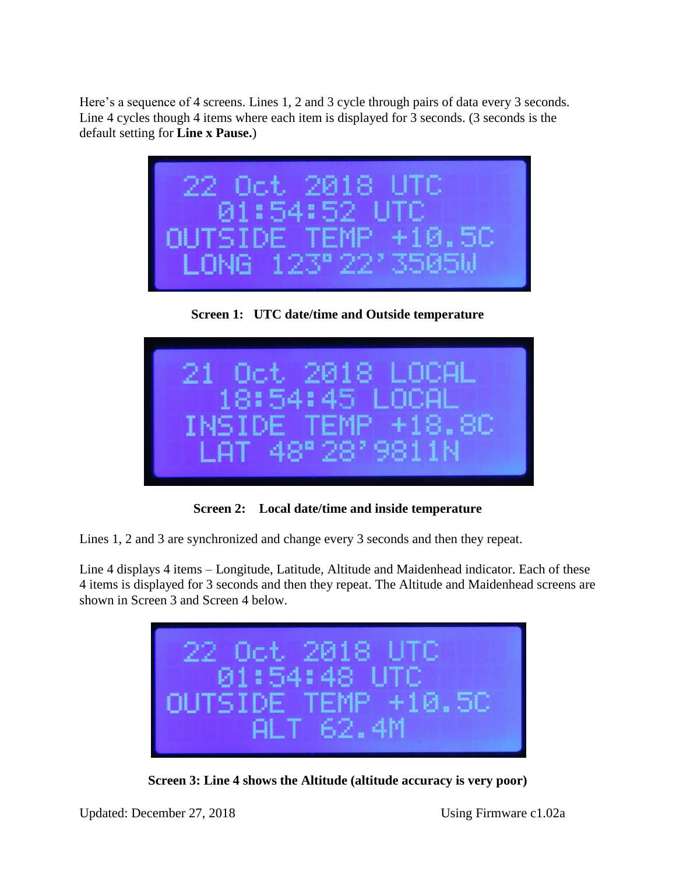Here's a sequence of 4 screens. Lines 1, 2 and 3 cycle through pairs of data every 3 seconds. Line 4 cycles though 4 items where each item is displayed for 3 seconds. (3 seconds is the default setting for **Line x Pause.**)



**Screen 1: UTC date/time and Outside temperature**



**Screen 2: Local date/time and inside temperature**

Lines 1, 2 and 3 are synchronized and change every 3 seconds and then they repeat.

Line 4 displays 4 items – Longitude, Latitude, Altitude and Maidenhead indicator. Each of these 4 items is displayed for 3 seconds and then they repeat. The Altitude and Maidenhead screens are shown in Screen 3 and Screen 4 below.



**Screen 3: Line 4 shows the Altitude (altitude accuracy is very poor)**